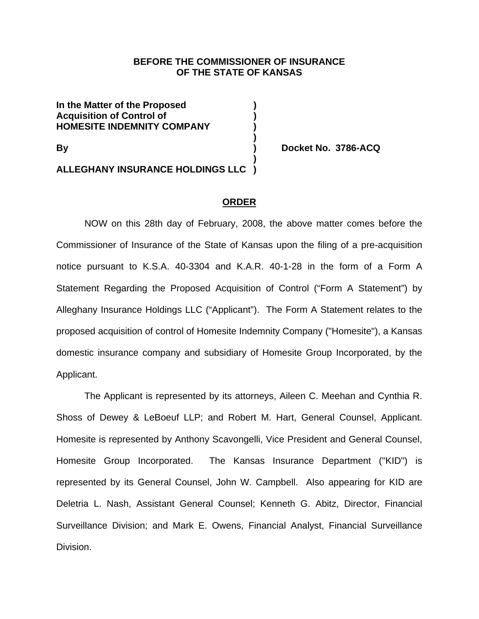### **BEFORE THE COMMISSIONER OF INSURANCE OF THE STATE OF KANSAS**

**In the Matter of the Proposed ) Acquisition of Control of ) HOMESITE INDEMNITY COMPANY )** 

**By ) Docket No. 3786-ACQ** 

 **) ALLEGHANY INSURANCE HOLDINGS LLC )** 

 **)** 

#### **ORDER**

NOW on this 28th day of February, 2008, the above matter comes before the Commissioner of Insurance of the State of Kansas upon the filing of a pre-acquisition notice pursuant to K.S.A. 40-3304 and K.A.R. 40-1-28 in the form of a Form A Statement Regarding the Proposed Acquisition of Control ("Form A Statement") by Alleghany Insurance Holdings LLC ("Applicant"). The Form A Statement relates to the proposed acquisition of control of Homesite Indemnity Company ("Homesite"), a Kansas domestic insurance company and subsidiary of Homesite Group Incorporated, by the Applicant.

The Applicant is represented by its attorneys, Aileen C. Meehan and Cynthia R. Shoss of Dewey & LeBoeuf LLP; and Robert M. Hart, General Counsel, Applicant. Homesite is represented by Anthony Scavongelli, Vice President and General Counsel, Homesite Group Incorporated. The Kansas Insurance Department ("KID") is represented by its General Counsel, John W. Campbell. Also appearing for KID are Deletria L. Nash, Assistant General Counsel; Kenneth G. Abitz, Director, Financial Surveillance Division; and Mark E. Owens, Financial Analyst, Financial Surveillance Division.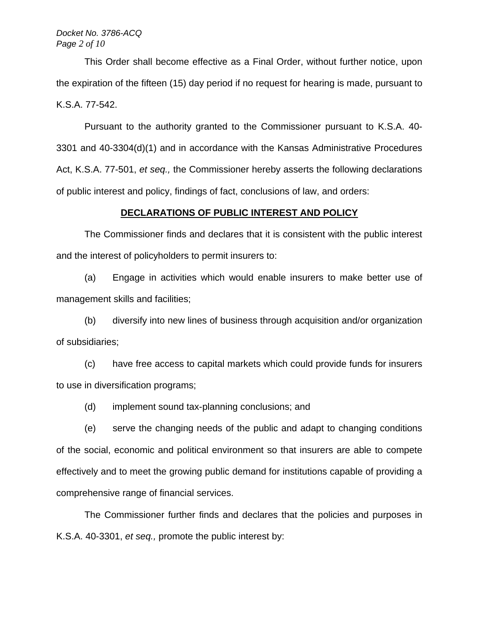#### *Docket No. 3786-ACQ Page 2 of 10*

This Order shall become effective as a Final Order, without further notice, upon the expiration of the fifteen (15) day period if no request for hearing is made, pursuant to K.S.A. 77-542.

Pursuant to the authority granted to the Commissioner pursuant to K.S.A. 40- 3301 and 40-3304(d)(1) and in accordance with the Kansas Administrative Procedures Act, K.S.A. 77-501, *et seq.,* the Commissioner hereby asserts the following declarations of public interest and policy, findings of fact, conclusions of law, and orders:

#### **DECLARATIONS OF PUBLIC INTEREST AND POLICY**

 The Commissioner finds and declares that it is consistent with the public interest and the interest of policyholders to permit insurers to:

(a) Engage in activities which would enable insurers to make better use of management skills and facilities;

(b) diversify into new lines of business through acquisition and/or organization of subsidiaries;

(c) have free access to capital markets which could provide funds for insurers to use in diversification programs;

(d) implement sound tax-planning conclusions; and

(e) serve the changing needs of the public and adapt to changing conditions of the social, economic and political environment so that insurers are able to compete effectively and to meet the growing public demand for institutions capable of providing a comprehensive range of financial services.

The Commissioner further finds and declares that the policies and purposes in K.S.A. 40-3301, *et seq.,* promote the public interest by: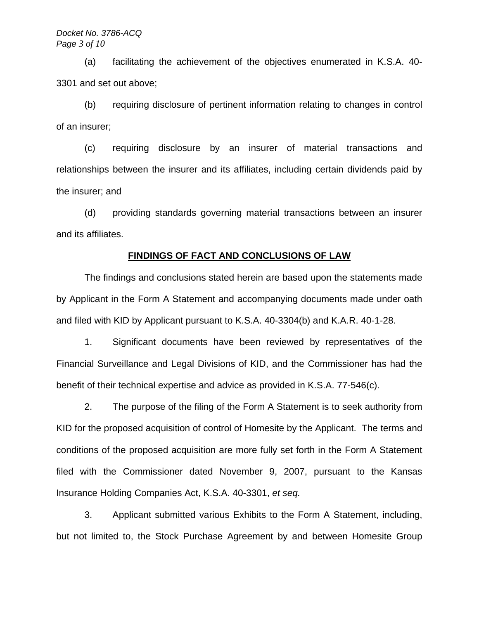#### *Docket No. 3786-ACQ Page 3 of 10*

(a) facilitating the achievement of the objectives enumerated in K.S.A. 40- 3301 and set out above;

(b) requiring disclosure of pertinent information relating to changes in control of an insurer;

(c) requiring disclosure by an insurer of material transactions and relationships between the insurer and its affiliates, including certain dividends paid by the insurer; and

(d) providing standards governing material transactions between an insurer and its affiliates.

#### **FINDINGS OF FACT AND CONCLUSIONS OF LAW**

The findings and conclusions stated herein are based upon the statements made by Applicant in the Form A Statement and accompanying documents made under oath and filed with KID by Applicant pursuant to K.S.A. 40-3304(b) and K.A.R. 40-1-28.

1. Significant documents have been reviewed by representatives of the Financial Surveillance and Legal Divisions of KID, and the Commissioner has had the benefit of their technical expertise and advice as provided in K.S.A. 77-546(c).

2. The purpose of the filing of the Form A Statement is to seek authority from KID for the proposed acquisition of control of Homesite by the Applicant. The terms and conditions of the proposed acquisition are more fully set forth in the Form A Statement filed with the Commissioner dated November 9, 2007, pursuant to the Kansas Insurance Holding Companies Act, K.S.A. 40-3301, *et seq.*

3. Applicant submitted various Exhibits to the Form A Statement, including, but not limited to, the Stock Purchase Agreement by and between Homesite Group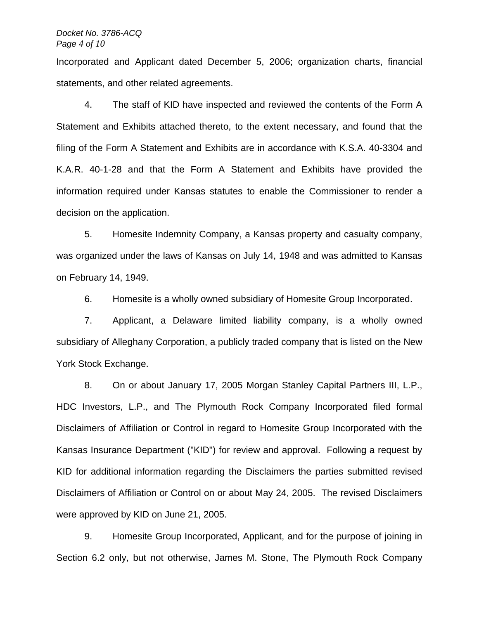#### *Docket No. 3786-ACQ Page 4 of 10*

Incorporated and Applicant dated December 5, 2006; organization charts, financial statements, and other related agreements.

4. The staff of KID have inspected and reviewed the contents of the Form A Statement and Exhibits attached thereto, to the extent necessary, and found that the filing of the Form A Statement and Exhibits are in accordance with K.S.A. 40-3304 and K.A.R. 40-1-28 and that the Form A Statement and Exhibits have provided the information required under Kansas statutes to enable the Commissioner to render a decision on the application.

5. Homesite Indemnity Company, a Kansas property and casualty company, was organized under the laws of Kansas on July 14, 1948 and was admitted to Kansas on February 14, 1949.

6. Homesite is a wholly owned subsidiary of Homesite Group Incorporated.

7. Applicant, a Delaware limited liability company, is a wholly owned subsidiary of Alleghany Corporation, a publicly traded company that is listed on the New York Stock Exchange.

8. On or about January 17, 2005 Morgan Stanley Capital Partners III, L.P., HDC Investors, L.P., and The Plymouth Rock Company Incorporated filed formal Disclaimers of Affiliation or Control in regard to Homesite Group Incorporated with the Kansas Insurance Department ("KID") for review and approval. Following a request by KID for additional information regarding the Disclaimers the parties submitted revised Disclaimers of Affiliation or Control on or about May 24, 2005. The revised Disclaimers were approved by KID on June 21, 2005.

9. Homesite Group Incorporated, Applicant, and for the purpose of joining in Section 6.2 only, but not otherwise, James M. Stone, The Plymouth Rock Company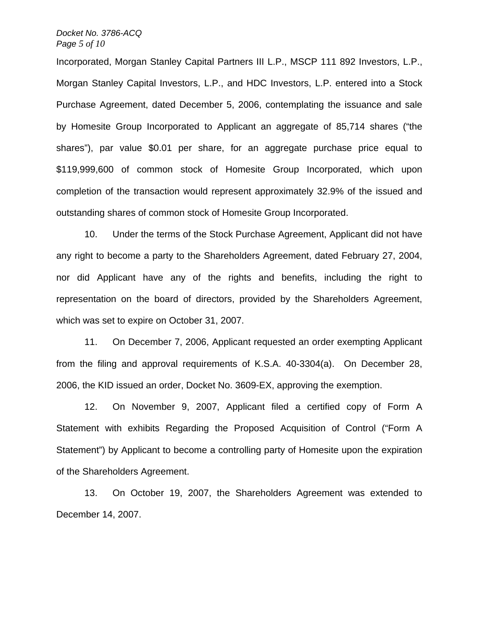#### *Docket No. 3786-ACQ Page 5 of 10*

Incorporated, Morgan Stanley Capital Partners III L.P., MSCP 111 892 Investors, L.P., Morgan Stanley Capital Investors, L.P., and HDC Investors, L.P. entered into a Stock Purchase Agreement, dated December 5, 2006, contemplating the issuance and sale by Homesite Group Incorporated to Applicant an aggregate of 85,714 shares ("the shares"), par value \$0.01 per share, for an aggregate purchase price equal to \$119,999,600 of common stock of Homesite Group Incorporated, which upon completion of the transaction would represent approximately 32.9% of the issued and outstanding shares of common stock of Homesite Group Incorporated.

10. Under the terms of the Stock Purchase Agreement, Applicant did not have any right to become a party to the Shareholders Agreement, dated February 27, 2004, nor did Applicant have any of the rights and benefits, including the right to representation on the board of directors, provided by the Shareholders Agreement, which was set to expire on October 31, 2007.

11. On December 7, 2006, Applicant requested an order exempting Applicant from the filing and approval requirements of K.S.A. 40-3304(a). On December 28, 2006, the KID issued an order, Docket No. 3609-EX, approving the exemption.

12. On November 9, 2007, Applicant filed a certified copy of Form A Statement with exhibits Regarding the Proposed Acquisition of Control ("Form A Statement") by Applicant to become a controlling party of Homesite upon the expiration of the Shareholders Agreement.

13. On October 19, 2007, the Shareholders Agreement was extended to December 14, 2007.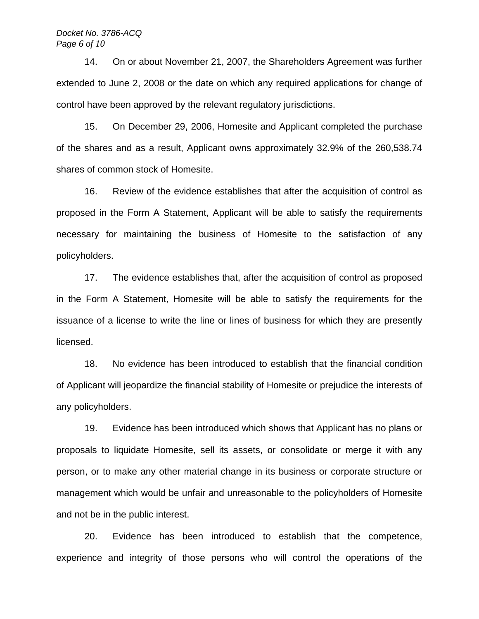#### *Docket No. 3786-ACQ Page 6 of 10*

14. On or about November 21, 2007, the Shareholders Agreement was further extended to June 2, 2008 or the date on which any required applications for change of control have been approved by the relevant regulatory jurisdictions.

15. On December 29, 2006, Homesite and Applicant completed the purchase of the shares and as a result, Applicant owns approximately 32.9% of the 260,538.74 shares of common stock of Homesite.

16. Review of the evidence establishes that after the acquisition of control as proposed in the Form A Statement, Applicant will be able to satisfy the requirements necessary for maintaining the business of Homesite to the satisfaction of any policyholders.

17. The evidence establishes that, after the acquisition of control as proposed in the Form A Statement, Homesite will be able to satisfy the requirements for the issuance of a license to write the line or lines of business for which they are presently licensed.

18. No evidence has been introduced to establish that the financial condition of Applicant will jeopardize the financial stability of Homesite or prejudice the interests of any policyholders.

19. Evidence has been introduced which shows that Applicant has no plans or proposals to liquidate Homesite, sell its assets, or consolidate or merge it with any person, or to make any other material change in its business or corporate structure or management which would be unfair and unreasonable to the policyholders of Homesite and not be in the public interest.

20. Evidence has been introduced to establish that the competence, experience and integrity of those persons who will control the operations of the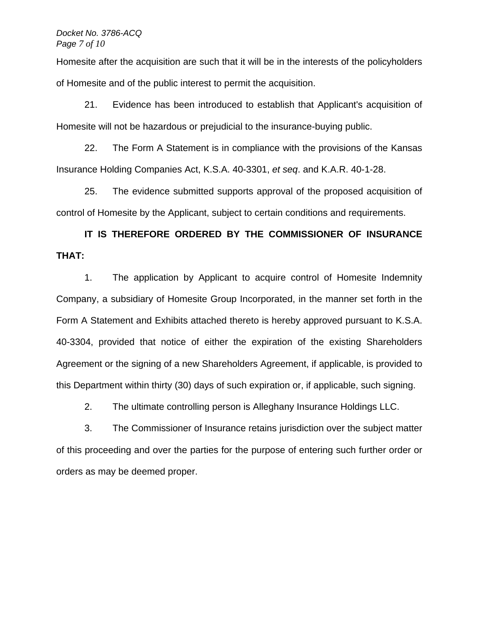#### *Docket No. 3786-ACQ Page 7 of 10*

Homesite after the acquisition are such that it will be in the interests of the policyholders of Homesite and of the public interest to permit the acquisition.

21. Evidence has been introduced to establish that Applicant's acquisition of Homesite will not be hazardous or prejudicial to the insurance-buying public.

22. The Form A Statement is in compliance with the provisions of the Kansas Insurance Holding Companies Act, K.S.A. 40-3301, *et seq*. and K.A.R. 40-1-28.

25. The evidence submitted supports approval of the proposed acquisition of control of Homesite by the Applicant, subject to certain conditions and requirements.

# **IT IS THEREFORE ORDERED BY THE COMMISSIONER OF INSURANCE THAT:**

 1. The application by Applicant to acquire control of Homesite Indemnity Company, a subsidiary of Homesite Group Incorporated, in the manner set forth in the Form A Statement and Exhibits attached thereto is hereby approved pursuant to K.S.A. 40-3304, provided that notice of either the expiration of the existing Shareholders Agreement or the signing of a new Shareholders Agreement, if applicable, is provided to this Department within thirty (30) days of such expiration or, if applicable, such signing.

2. The ultimate controlling person is Alleghany Insurance Holdings LLC.

3. The Commissioner of Insurance retains jurisdiction over the subject matter of this proceeding and over the parties for the purpose of entering such further order or orders as may be deemed proper.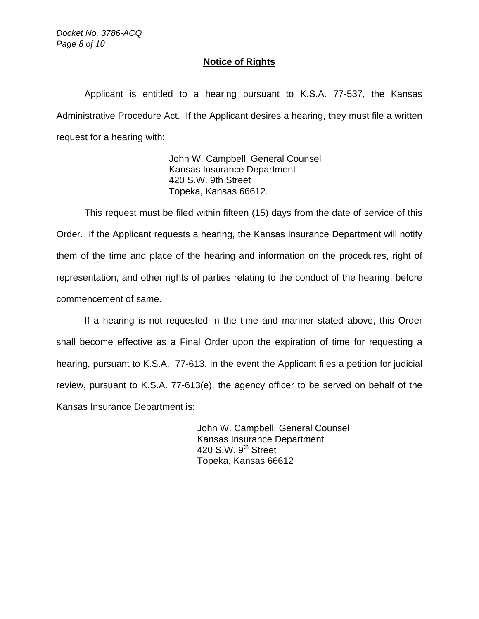*Docket No. 3786-ACQ Page 8 of 10*

## **Notice of Rights**

 Applicant is entitled to a hearing pursuant to K.S.A. 77-537, the Kansas Administrative Procedure Act. If the Applicant desires a hearing, they must file a written request for a hearing with:

> John W. Campbell, General Counsel Kansas Insurance Department 420 S.W. 9th Street Topeka, Kansas 66612.

 This request must be filed within fifteen (15) days from the date of service of this Order. If the Applicant requests a hearing, the Kansas Insurance Department will notify them of the time and place of the hearing and information on the procedures, right of representation, and other rights of parties relating to the conduct of the hearing, before commencement of same.

 If a hearing is not requested in the time and manner stated above, this Order shall become effective as a Final Order upon the expiration of time for requesting a hearing, pursuant to K.S.A. 77-613. In the event the Applicant files a petition for judicial review, pursuant to K.S.A. 77-613(e), the agency officer to be served on behalf of the Kansas Insurance Department is:

> John W. Campbell, General Counsel Kansas Insurance Department 420 S.W. 9<sup>th</sup> Street Topeka, Kansas 66612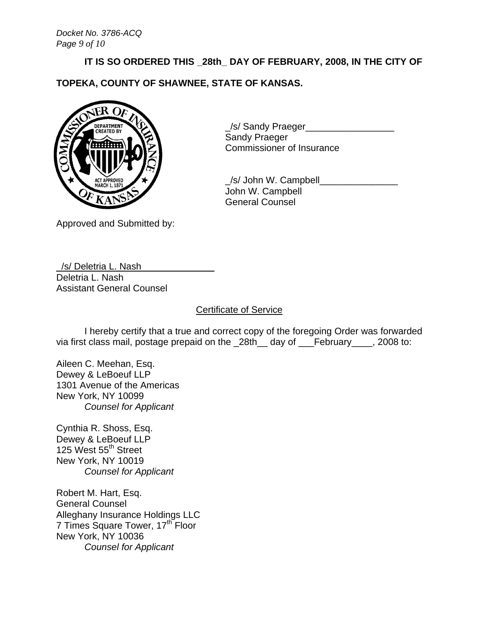# **IT IS SO ORDERED THIS \_28th\_ DAY OF FEBRUARY, 2008, IN THE CITY OF**

**TOPEKA, COUNTY OF SHAWNEE, STATE OF KANSAS.** 



\_/s/ Sandy Praeger\_\_\_\_\_\_\_\_\_\_\_\_\_\_\_\_\_ Sandy Praeger Commissioner of Insurance

 \_/s/ John W. Campbell\_\_\_\_\_\_\_\_\_\_\_\_\_\_\_ John W. Campbell General Counsel

Approved and Submitted by:

\_/s/ Deletria L. Nash\_\_\_\_\_\_\_\_\_\_\_\_\_\_ Deletria L. Nash Assistant General Counsel

## Certificate of Service

 I hereby certify that a true and correct copy of the foregoing Order was forwarded via first class mail, postage prepaid on the \_28th\_\_ day of \_\_\_February\_\_\_\_, 2008 to:

Aileen C. Meehan, Esq. Dewey & LeBoeuf LLP 1301 Avenue of the Americas New York, NY 10099  *Counsel for Applicant* 

Cynthia R. Shoss, Esq. Dewey & LeBoeuf LLP 125 West 55<sup>th</sup> Street New York, NY 10019  *Counsel for Applicant* 

Robert M. Hart, Esq. General Counsel Alleghany Insurance Holdings LLC 7 Times Square Tower, 17<sup>th</sup> Floor New York, NY 10036  *Counsel for Applicant*